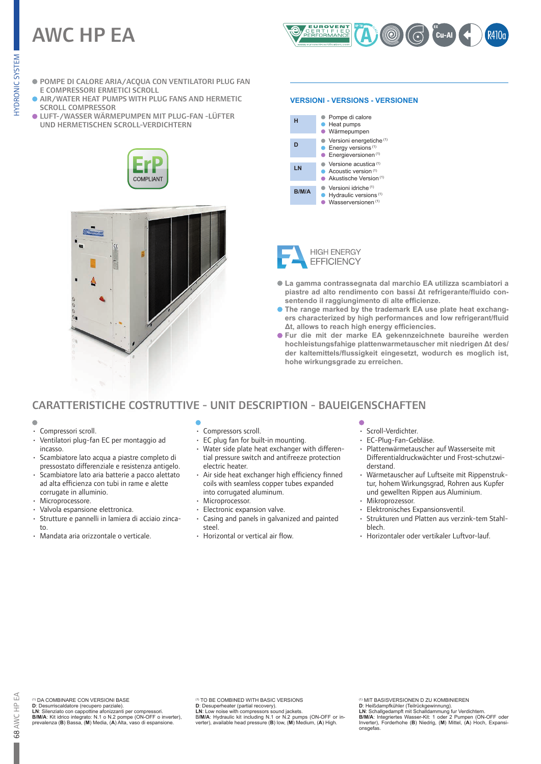# AWC HP EA



- POMPE DI CALORE ARIA/ACQUA CON VENTILATORI PLUG FAN E COMPRESSORI ERMETICI SCROLL
- **AIR/WATER HEAT PUMPS WITH PLUG FANS AND HERMETIC** SCROLL COMPRESSOR
- LUFT-/WASSER WÄRMEPUMPEN MIT PLUG-FAN -LÜFTER UND HERMETISCHEN SCROLL-VERDICHTERN





#### **VERSIONI - VERSIONS - VERSIONEN**

| н     | Pompe di calore<br>• Heat pumps<br>Wärmepumpen                                                                     |
|-------|--------------------------------------------------------------------------------------------------------------------|
| D     | Versioni energetiche <sup>(1)</sup><br>$\bullet$ Energy versions <sup>(1)</sup><br>Energieversionen <sup>(1)</sup> |
| LN    | Versione acustica <sup>(1)</sup><br>Acoustic version <sup>(1)</sup><br>Akustische Version <sup>(1)</sup>           |
| B/M/A | Versioni idriche <sup>(1)</sup><br>Hydraulic versions <sup>(1)</sup><br>Wasserversionen <sup>(1)</sup>             |



- **La gamma contrassegnata dal marchio EA utilizza scambiatori a piastre ad alto rendimento con bassi Δt refrigerante/fluido consentendo il raggiungimento di alte efficienze.**
- **The range marked by the trademark EA use plate heat exchangers characterized by high performances and low refrigerant/fluid Δt, allows to reach high energy efficiencies.**
- **Fur die mit der marke EA gekennzeichnete baureihe werden hochleistungsfahige plattenwarmetauscher mit niedrigen Δt des/ der kaltemittels/flussigkeit eingesetzt, wodurch es moglich ist, hohe wirkungsgrade zu erreichen.**

# CARATTERISTICHE COSTRUTTIVE - UNIT DESCRIPTION - BAUEIGENSCHAFTEN

- 
- Compressori scroll.
- Ventilatori plug-fan EC per montaggio ad incasso.
- Scambiatore lato acqua a piastre completo di pressostato differenziale e resistenza antigelo.
- Scambiatore lato aria batterie a pacco alettato ad alta efficienza con tubi in rame e alette corrugate in alluminio.
- Microprocessore.
- Valvola espansione elettronica.
- Strutture e pannelli in lamiera di acciaio zincato.
- Mandata aria orizzontale o verticale.
- Compressors scroll.
- EC plug fan for built-in mounting.
- Water side plate heat exchanger with differential pressure switch and antifreeze protection electric heater.
- Air side heat exchanger high efficiency finned coils with seamless copper tubes expanded into corrugated aluminum.
- Microprocessor.
- Electronic expansion valve.
- Casing and panels in galvanized and painted steel.
- Horizontal or vertical air flow.

- Scroll-Verdichter.
- EC-Plug-Fan-Gebläse.
- Plattenwärmetauscher auf Wasserseite mit Differentialdruckwächter und Frost-schutzwiderstand.
- Wärmetauscher auf Luftseite mit Rippenstruktur, hohem Wirkungsgrad, Rohren aus Kupfer und gewellten Rippen aus Aluminium.
- Mikroprozessor.
- Elektronisches Expansionsventil.
- Strukturen und Platten aus verzink-tem Stahlblech.
- Horizontaler oder vertikaler Luftvor-lauf.

(1) DA COMBINARE CON VERSIONI BASE **D**: Desurriscaldatore (recupero parziale).

**LN**: Silenziato con cappottine afonizzanti per compressori. **B/M/A**: Kit idrico integrato: N.1 o N.2 pompe (ON-OFF o inverter), prevalenza (**B**) Bassa, (**M**) Media, (**A**) Alta, vaso di espansione.

(1) TO BE COMBINED WITH BASIC VERSIONS **D**: Desuperheater (partial recovery).

**LN**: Low noise with compressors sound jackets. B**/M/A**: Hydraulic kit including N.1 or N.2 pumps (ON-OFF or in-verter), available head pressure (**B**) low, (**M**) Medium, (**A**) High.

<sup>(9)</sup> MIT BASISVERSIONEN D ZU KOMBINIEREN<br>D: Heißdampfkühler (Teilrückgewinnung).<br>LN: Schallgedampft mit Schalldammung fur Verdichtern.<br>**EMIA:** Integriertes Wasser-Kit: 1 oder 2 Pumpen (ON-OFF oder<br>Inverter), Forderhohe (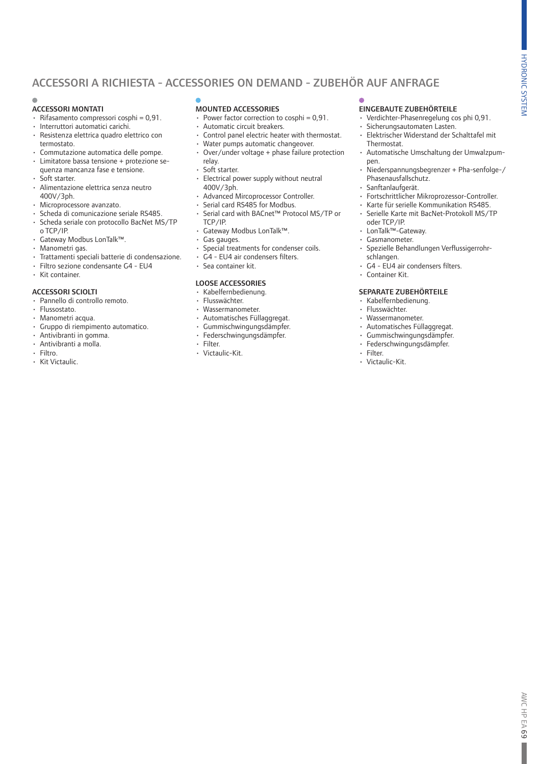# ACCESSORI A RICHIESTA - ACCESSORIES ON DEMAND - ZUBEHÖR AUF ANFRAGE

#### ACCESSORI MONTATI

- $\cdot$  Rifasamento compressori cosphi = 0.91.
- Interruttori automatici carichi.<br>• Resistenza elettrica quadro ele
- Resistenza elettrica quadro elettrico con termostato.
- Commutazione automatica delle pompe.
- Limitatore bassa tensione + protezione sequenza mancanza fase e tensione.
- Soft starter.
- Alimentazione elettrica senza neutro 400V/3ph.
- Microprocessore avanzato.
- Scheda di comunicazione seriale RS485. • Scheda seriale con protocollo BacNet MS/TP
- o TCP/IP. • Gateway Modbus LonTalk™.
- Manometri gas.
- Trattamenti speciali batterie di condensazione.
- Filtro sezione condensante G4 EU4
- Kit container.

#### ACCESSORI SCIOLTI

- Pannello di controllo remoto.
- Flussostato.
- Manometri acqua.
- Gruppo di riempimento automatico.
- Antivibranti in gomma.
- Antivibranti a molla.
- Filtro.
- Kit Victaulic.

### MOUNTED ACCESSORIES

- Power factor correction to cosphi =  $0.91$ .
- Automatic circuit breakers.
- Control panel electric heater with thermostat. • Water pumps automatic changeover.
- 
- Over/under voltage + phase failure protection relay.
- Soft starter.
- Electrical power supply without neutral 400V/3ph.
- Advanced Mircoprocessor Controller.
- Serial card RS485 for Modbus.
- Serial card with BACnet™ Protocol MS/TP or TCP/IP.
- Gateway Modbus LonTalk™.
- Gas gauges.
- Special treatments for condenser coils.
- G4 EU4 air condensers filters.
- Sea container kit.

#### LOOSE ACCESSORIES

- Kabelfernbedienung.
- Flusswächter.
- Wassermanometer.
- Automatisches Füllaggregat.
- Gummischwingungsdämpfer.
- Federschwingungsdämpfer.
- Filter.
- Victaulic-Kit.

### EINGEBAUTE ZUBEHÖRTEILE

- Verdichter-Phasenregelung cos phi 0,91.
- Sicherungsautomaten Lasten.
- Elektrischer Widerstand der Schalttafel mit **Thermostat.**
- Automatische Umschaltung der Umwalzpumpen.
- Niederspannungsbegrenzer + Pha-senfolge-/ Phasenausfallschutz.
- Sanftanlaufgerät.<br>• Fortschrittlicher N
- Fortschrittlicher Mikroprozessor-Controller.
- Karte für serielle Kommunikation RS485.
- Serielle Karte mit BacNet-Protokoll MS/TP oder TCP/IP.
- LonTalk™-Gateway.
- Gasmanometer.
- Spezielle Behandlungen Verflussigerrohrschlangen.
- G4 EU4 air condensers filters.
- Container Kit.

#### SEPARATE ZUBEHÖRTEILE

- Kabelfernbedienung.
- Flusswächter.
- Wassermanometer.
- Automatisches Füllaggregat.
- Gummischwingungsdämpfer.
- Federschwingungsdämpfer.
- Filter.
- Victaulic-Kit.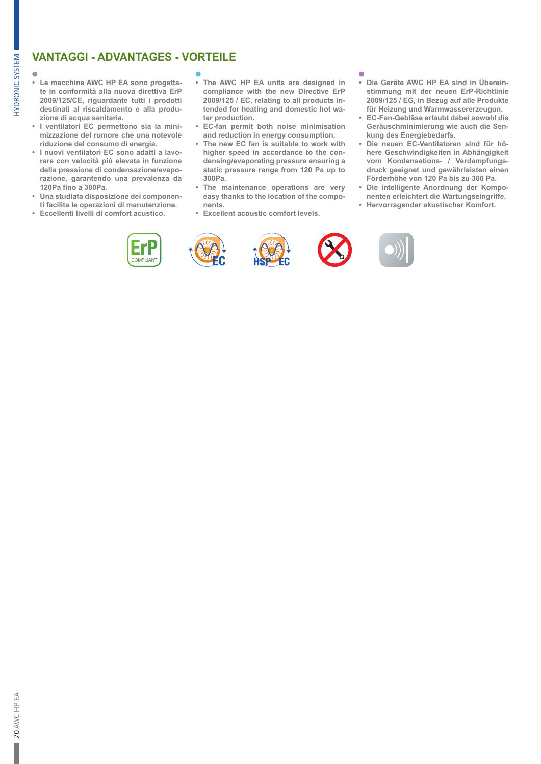# **VANTAGGI - ADVANTAGES - VORTEILE**

**IYDRONIC SYSTEM** 

- **• Le macchine AWC HP EA sono progettate in conformità alla nuova direttiva ErP 2009/125/CE, riguardante tutti i prodotti destinati al riscaldamento e alla produzione di acqua sanitaria.**
- **• I ventilatori EC permettono sia la minimizzazione del rumore che una notevole riduzione del consumo di energia.**
- **• I nuovi ventilatori EC sono adatti a lavorare con velocità più elevata in funzione della pressione di condensazione/evaporazione, garantendo una prevalenza da 120Pa fino a 300Pa.**
- **• Una studiata disposizione dei componenti facilita le operazioni di manutenzione.**
- **• Eccellenti livelli di comfort acustico.**

- **• The AWC HP EA units are designed in compliance with the new Directive ErP 2009/125 / EC, relating to all products intended for heating and domestic hot water production.**
- **• EC-fan permit both noise minimisation and reduction in energy consumption.**
- **• The new EC fan is suitable to work with higher speed in accordance to the condensing/evaporating pressure ensuring a static pressure range from 120 Pa up to 300Pa.**
- **• The maintenance operations are very easy thanks to the location of the components.**
- **• Excellent acoustic comfort levels.**

### ä

- **• Die Geräte AWC HP EA sind in Übereinstimmung mit der neuen ErP-Richtlinie 2009/125 / EG, in Bezug auf alle Produkte für Heizung und Warmwassererzeugun.**
- **• EC-Fan-Gebläse erlaubt dabei sowohl die Geräuschminimierung wie auch die Senkung des Energiebedarfs.**
- **• Die neuen EC-Ventilatoren sind für höhere Geschwindigkeiten in Abhängigkeit vom Kondensations- / Verdampfungsdruck geeignet und gewährleisten einen Förderhöhe von 120 Pa bis zu 300 Pa.**
- **• Die intelligente Anordnung der Komponenten erleichtert die Wartungseingriffe.**
- **• Hervorragender akustischer Komfort.**

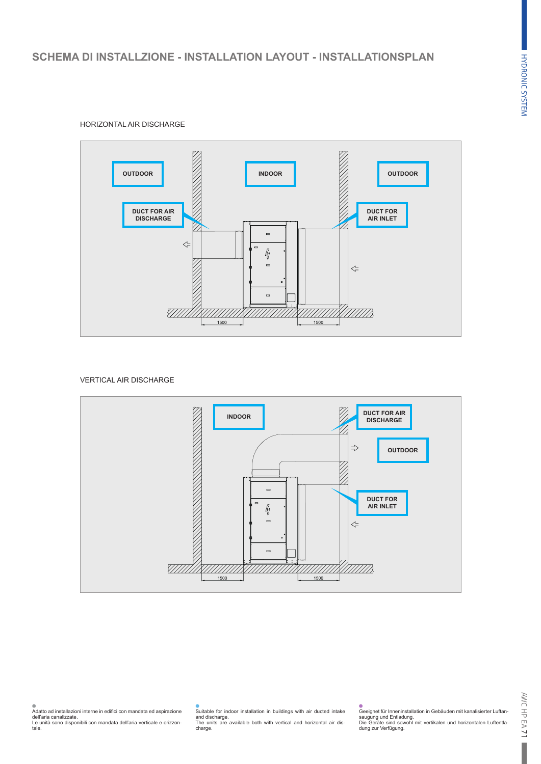



#### VERTICAL AIR DISCHARGE



## Suitable for indoor installation in buildings with air ducted intake and discharge. The units are available both with vertical and horizontal air dis-charge.

Geeignet für Inneninstallation in Gebäuden mit kanalisierter Luftansaugung und Entladung. Die Geräte sind sowohl mit vertikalen und horizontalen Luftentla-dung zur Verfügung.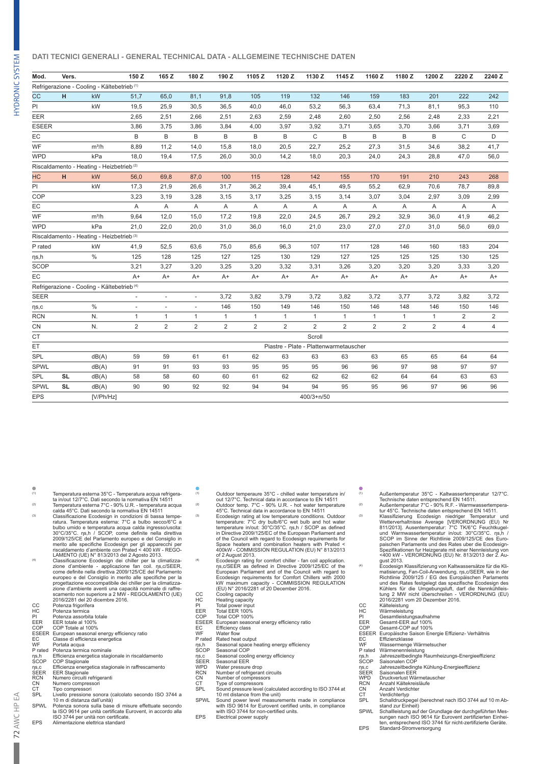#### **DATI TECNICI GENERALI - GENERAL TECHNICAL DATA - ALLGEMEINE TECHNISCHE DATEN**

| Mod.         | Vers.     |                                                        | 150 Z                   | 165 Z          | 180 Z          | 190 Z          | 1105 Z         | 1120 Z                                 | 1130 Z         | 1145 Z         | 1160 Z         | 1180 Z         | 1200 Z         | 2220 Z       | 2240 Z         |
|--------------|-----------|--------------------------------------------------------|-------------------------|----------------|----------------|----------------|----------------|----------------------------------------|----------------|----------------|----------------|----------------|----------------|--------------|----------------|
|              |           | Refrigerazione - Cooling - Kältebetrieb <sup>(1)</sup> |                         |                |                |                |                |                                        |                |                |                |                |                |              |                |
| <b>CC</b>    | H         | kW                                                     | 51,7                    | 65,0           | 81,1           | 91,8           | 105            | 119                                    | 132            | 146            | 159            | 183            | 201            | 222          | 242            |
| ΡI           |           | kW                                                     | 19,5                    | 25,9           | 30,5           | 36,5           | 40,0           | 46,0                                   | 53,2           | 56,3           | 63,4           | 71,3           | 81,1           | 95,3         | 110            |
| EER          |           |                                                        | 2,65                    | 2,51           | 2,66           | 2,51           | 2,63           | 2,59                                   | 2,48           | 2,60           | 2,50           | 2,56           | 2,48           | 2,33         | 2,21           |
| <b>ESEER</b> |           |                                                        | 3,86                    | 3,75           | 3,86           | 3,84           | 4,00           | 3,97                                   | 3,92           | 3,71           | 3,65           | 3,70           | 3,66           | 3,71         | 3,69           |
| EC           |           |                                                        | B                       | B              | B              | B              | B              | B                                      | C              | B              | B              | B              | B              | $\mathsf{C}$ | D              |
| WF           |           | $m^3/h$                                                | 8,89                    | 11,2           | 14.0           | 15,8           | 18,0           | 20,5                                   | 22,7           | 25,2           | 27,3           | 31,5           | 34,6           | 38,2         | 41,7           |
| <b>WPD</b>   |           | kPa                                                    | 18,0                    | 19,4           | 17,5           | 26,0           | 30,0           | 14,2                                   | 18,0           | 20,3           | 24,0           | 24,3           | 28,8           | 47,0         | 56,0           |
|              |           | Riscaldamento - Heating - Heizbetrieb <sup>(2)</sup>   |                         |                |                |                |                |                                        |                |                |                |                |                |              |                |
| <b>HC</b>    | H         | kW                                                     | 56,0                    | 69,8           | 87,0           | 100            | 115            | 128                                    | 142            | 155            | 170            | 191            | 210            | 243          | 268            |
| ΡI           |           | kW                                                     | 17,3                    | 21,9           | 26,6           | 31,7           | 36,2           | 39,4                                   | 45,1           | 49,5           | 55,2           | 62,9           | 70,6           | 78,7         | 89,8           |
| COP          |           |                                                        | 3,23                    | 3,19           | 3,28           | 3,15           | 3,17           | 3,25                                   | 3,15           | 3,14           | 3,07           | 3,04           | 2,97           | 3,09         | 2,99           |
| EC           |           |                                                        | Α                       | Α              | Α              | Α              | Α              | Α                                      | Α              | Α              | Α              | Α              | Α              | Α            | Α              |
| WF           |           | $m^3/h$                                                | 9,64                    | 12,0           | 15,0           | 17,2           | 19,8           | 22,0                                   | 24,5           | 26,7           | 29,2           | 32,9           | 36,0           | 41,9         | 46,2           |
| <b>WPD</b>   |           | kPa                                                    | 21,0                    | 22,0           | 20,0           | 31,0           | 36,0           | 16,0                                   | 21,0           | 23,0           | 27,0           | 27,0           | 31,0           | 56,0         | 69,0           |
|              |           | Riscaldamento - Heating - Heizbetrieb <sup>(3)</sup>   |                         |                |                |                |                |                                        |                |                |                |                |                |              |                |
| P rated      |           | kW                                                     | 41,9                    | 52,5           | 63,6           | 75,0           | 85,6           | 96,3                                   | 107            | 117            | 128            | 146            | 160            | 183          | 204            |
| ηs,h         |           | $\%$                                                   | 125                     | 128            | 125            | 127            | 125            | 130                                    | 129            | 127            | 125            | 125            | 125            | 130          | 125            |
| <b>SCOP</b>  |           |                                                        | 3,21                    | 3,27           | 3,20           | 3,25           | 3,20           | 3,32                                   | 3,31           | 3,26           | 3,20           | 3,20           | 3,20           | 3,33         | 3,20           |
| EC           |           |                                                        | $A+$                    | $A+$           | $A+$           | $A+$           | $A+$           | $A+$                                   | $A+$           | $A+$           | $A+$           | $A+$           | $A+$           | $A+$         | A+             |
|              |           | Refrigerazione - Cooling - Kältebetrieb <sup>(4)</sup> |                         |                |                |                |                |                                        |                |                |                |                |                |              |                |
| <b>SEER</b>  |           |                                                        |                         | ÷,             | $\bar{a}$      | 3,72           | 3,82           | 3,79                                   | 3,72           | 3,82           | 3,72           | 3,77           | 3,72           | 3,82         | 3,72           |
| $\eta s,c$   |           | $\%$                                                   |                         |                |                | 146            | 150            | 149                                    | 146            | 150            | 146            | 148            | 146            | 150          | 146            |
| <b>RCN</b>   |           | N.                                                     | $\mathbf{1}$            | $\mathbf{1}$   | 1              | $\mathbf{1}$   | $\mathbf{1}$   | $\mathbf{1}$                           | $\mathbf{1}$   | $\mathbf{1}$   | $\mathbf{1}$   | $\mathbf{1}$   | 1              | 2            | $\overline{c}$ |
| CN           |           | N.                                                     | $\overline{\mathbf{c}}$ | $\overline{2}$ | $\overline{2}$ | $\overline{2}$ | $\overline{2}$ | $\overline{2}$                         | $\overline{2}$ | $\overline{2}$ | $\overline{2}$ | $\overline{c}$ | $\overline{2}$ | 4            | $\overline{4}$ |
| <b>CT</b>    |           |                                                        |                         |                |                |                |                |                                        | Scroll         |                |                |                |                |              |                |
| ET           |           |                                                        |                         |                |                |                |                | Piastre - Plate - Plattenwarmetauscher |                |                |                |                |                |              |                |
| SPL          |           | dB(A)                                                  | 59                      | 59             | 61             | 61             | 62             | 63                                     | 63             | 63             | 63             | 65             | 65             | 64           | 64             |
| <b>SPWL</b>  |           | dB(A)                                                  | 91                      | 91             | 93             | 93             | 95             | 95                                     | 95             | 96             | 96             | 97             | 98             | 97           | 97             |
| SPL          | <b>SL</b> | dB(A)                                                  | 58                      | 58             | 60             | 60             | 61             | 62                                     | 62             | 62             | 62             | 64             | 64             | 63           | 63             |
| <b>SPWL</b>  | <b>SL</b> | dB(A)                                                  | 90                      | 90             | 92             | 92             | 94             | 94                                     | 94             | 95             | 95             | 96             | 97             | 96           | 96             |
| <b>EPS</b>   |           | [V/Ph/Hz]                                              |                         |                |                |                |                |                                        | 400/3+n/50     |                |                |                |                |              |                |
|              |           |                                                        |                         |                |                |                |                |                                        |                |                |                |                |                |              |                |

- 
- (1) Temperatura esterna 35°C Temperatura acqua refrigera-ta in/out 12/7°C. Dati secondo la normativa EN 14511 (2) Temperatura esterna 7°C 90% U.R. temperatura acqua calda 45°C. Dati secondo la normativa EN 14511
- (3) Classificazione Ecodesign in condizioni di bassa tempe-<br>ratura. Temperatura esterna: 7°C a bulbo secco/6°C a<br>bulbo umido e temperatura acqua calda ingresso/uscita:<br>30°C/35°C. ηs,h / SCOP, come definite nella direttiva
- 2009/125/CE del Parlamento europeo e del Consiglio in<br>merito alle specifiche Ecodesign per gli apparecchi per<br>incidamento d'ambiente con Prated < 400 kW REGO-LAMENTO (UE) N' 813/2013 del 2 Agosto 2013.<br>Classificazione Ec 2016/2281 del 20 dicembre 2016.
- 
- CC Potenza frigorifera HC Potenza termica PI Potenza assorbita totale
- 
- 
- ECC Potenza frigorifera<br>
HC Potenza termica<br>
PI Potenza assorbita t<br>
EER EER totale al 100%<br>
COP COPTOtale al 100%<br>
COP COPTOF Furnoean seasonal COP COP Totale al 100%
- ESEER European seasonal energy efficiency ratio EC Classe di efficienza energetica WF Portata acqua P rated Potenza termica nominale
- 
- 
- ηs,h Efficienza energetica stagionale in riscaldamento<br>SCOP COP Stagionale<br>ηs,c Efficienza energetica stagionale in raffrescamento<br>SEER EER Stagionale<br>RCN Numero circuiti refrigeranti
- 
- 
- 
- 
- 
- CN Numero compressori<br>CT Tipo compressori<br>SPL Livello pressione sonora (calcolato secondo ISO 3744 a<br>10 m di distanza dall'unità)<br>SPWL Potenza sonora sulla base di misure effettuate secondo
- la ISO 9614 per unità certificate Eurovent, in accordo alla
- ISO 3744 per unità non certificate. EPS Alimentazione elettrica standard
- 
- (1) Outdoor temperaure 35°C chilled water temperature in/ out 12/7°C. Technical data in accordance to EN 14511 (2) Outdoor temp. 7°C 90% U.R. hot water temperature 45°C. Technical data in accordance to EN 14511
- <sup>(3)</sup> Ecodesign rating at low temperature conditions. Outdoor<br>temperature: 7°C dry bulb/6°C wet bulb and hot water<br>temperature in/out: 30°C/35°C. ns,h / SCOP as defined<br>in Directive 2009/125/EC of the European Parliament a of the Council with regard to Ecodesign requirements for Space heaters and combination heaters with Prated < 400kW - COMMISSION REGULATION (EU) N° 813/2013 of 2 August 2013.
- (4) Ecodesign rating for comfort chiller fan coil application. ηs,c/SEER as defined in Directive 2009/125/EC of the European Parliament and of the Council with regard to Ecodesign requirements for Comfort Chillers with 2000 kW maximum capacity - COMMISSION REGULATION (EU) N° 2016/2281 of 20 December 2016.
- CC Cooling capacity<br>HC Heating capacity
- 
- 
- HC Heating capacity PI Total power input EER Total EER 100% COP Total COP 100%
- From Frequency capacity<br>
FER Total EER 100%<br>
COP Total EER 100%<br>
ESEER European seasonal energy efficiency ratio<br>
EC Efficiency class<br>
WE Water flow
- Efficiency class<br>Water flow
- 
- 
- WF Water flow P rated Rated heat output ηs,h Seasonal space heating energy efficiency SCOP Seasonal COP
- 
- ηs,c Seasonal cooling energy efficiency
- 
- SEER Seasonal EER<br>
WPD Water pressure<br>
RCN Number of refri<br>
CN Number of com WPD Water pressure drop RCN Number of refrigerant circuits CN Number of compressors
- 
- 
- CT Type of compressors<br>SPL Sound pressure level (calculated according to ISO 3744 at<br>SPWL Sound power level measurements made in compliance<br>SPWL Sound power level measurements made in compliance<br>with ISO 9614 for Eurovent
- with ISO 3744 for non-certified units. EPS Electrical power supply
	-
- (1) Außentemperatur 35°C Kaltwassertemperatur 12/7°C. Technische daten entsprechend EN 14511. (2) Außentemperatur 7°C 90% R.F. Warmwassertempera-tur 45°C. Technische daten entsprechend EN 14511.
- 
- <sup>(3)</sup><br>Klassifizierung Ecodesign niedriger Temperatur und<br>Wetterverhaltnisse Average [VERORDNUNG (EU) Nr<br>1/2013]. Ausentemperatur 7°C TK/6°C Feuchtkugel-<br>und Warmwassertemperatur in/out: 30°C/35°C. ns.h<br>SCOP im Sinne der Ri paischen Parlaments und des Rates uber die Ecodesign-<br>Spezifikationen fur Heizgerate mit einer Nennleistung von<br><400 kW - VERORDNUNG (EU) Nr. 813/2013 der 2. Au-<br>gust 2013.<br>Ecodesign Klassifizierung von Kaltwassersätze für
- matisierung, Fan-Coil-Anwendung. ns,c/SEER, wie in der<br>Richtlinie 2009/125 / EG des Europäischen Parlaments<br>und des Rates festgelegt das spezifische Ecodesign des<br>Kühlers für die Umgebungsluft, darf die Nennkühliels-<br>tung 2016/2281 vom 20 Dezember 2016.
- 
- 
- CC Kälteleistung HC Wärmeleistung PI Gesamtleistungsaufnahme EER Gesamt-EER auf 100%
- COP Gesamt-COP auf 100%<br>ESEER Europäische Saison En
- ESEER Europäische Saison Energie Effizienz- Verhältnis EC Effizienzklasse WF Wassermenge Wärmetsucher P rated Wärmenennleistung
- 
- 
- ηs,h Jahreszeitbedingte Raumheizungs-Energieeffizienz SCOP Saisonalen COP
- 
- 
- ηs,c Jahreszeitbedingte Kühlung-Energieeffizienz SEER Saisonalen EER WPD Druckverlust Wärmetauscher
- 
- 
- 
- RCN Anzahl Kältekreisläufe<br>
CN Anzahl Verdichter<br>
CT Verdichtertyp<br>
SPL Schalldruckpegel (bere
	- CN Anzahl Verdichter CT Verdichtertyp SPL Schalldruckpegel (berechnet nach ISO 3744 auf 10 m Ab-stand zur Einheit)
	- SPWL Schallleistung auf der Grundlage der durchgeführten Mes-sungen nach ISO 9614 für Eurovent zertifizierten Einhei-ten, entsprechend ISO 3744 für nicht-zertifizierte Geräte. EPS Standard-Stromversorgung

**HYDRONIC SYSTEM**